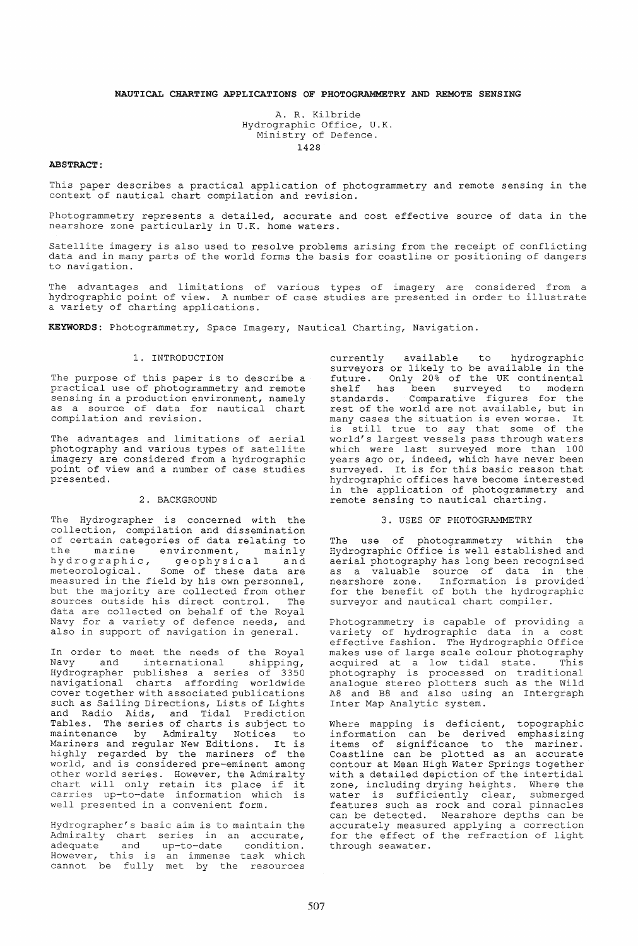# NAUTICAL CHARTING APPLICATIONS OF PHOTOGRAMMETRY AND REMOTE SENSING

A. R. Kilbride Hydrographic Office, U.K. Ministry of Defence. 1428

# ABSTRACT:

This paper describes a practical application of photogrammetry and remote sensing in the context of nautical chart compilation and revision.

Photogrammetry represents a detailed, accurate and cost effective source of data in the nearshore zone particularly in U.K. home waters.

Satellite imagery is also used to resolve problems arising from the receipt of conflicting data and in many parts of the world forms the basis for coastline or positioning of dangers to navigation.

The advantages and limitations of various types of imagery are considered from a hydrographic point of view. A number of case studies are presented in order to illustrate a variety of charting applications.

KEYWORDS: Photogrammetry, Space Imagery, Nautical Charting, Navigation.

# 1. INTRODUCTION

The purpose of this paper is to describe a practical use of photogrammetry and remote sensing in a production environment, namely as a source of data for nautical chart compilation and revision.

The advantages and limitations of aerial photography and various types of satellite imagery are considered from a hydrographic point of view and a number of case studies presented.

# 2. BACKGROUND

The Hydrographer is concerned with the collection, compilation and dissemination of certain categories of data relating to the marine environment, mainly the marine environment, mainly<br>hydrographic, geophysical and<br>meteorological. Some of these data are Some of these data are measured in the field by his own personnel, but the majority are collected from other sources outside his direct control. The data are collected on behalf of the Royal Navy for a variety of defence needs, and also in support of navigation in general.

In order to meet the needs of the Royal<br>Navy and international shipping, nternational shipping, Hydrographer publishes a series of 3350 navigational charts affording worldwide cover together with associated publications such as Sailing Directions, Lists of Lights and Radio Aids, and Tidal Prediction Tables. The series of charts is subject to maintenance by Admiralty Notices to Mariners and regular New Editions. It is highly regarded by the mariners of the world, and is considered pre-eminent among other world series. However, the Admiralty other world series. However, the Admiralty<br>chart will only retain its place if it carries up-to-date information which is well presented in a convenient form.

Hydrographer's basic aim is to maintain the Admiralty chart series in an accurate, adequate and up-to-date condition.<br>However, this is an immense task which cannot be fully met by the resources

currently available to hydrographic surveyors or likely to be available in the future. Only 20% of the UK continental shelf has been surveyed to modern standards . Comparative figures for the rest of the world are not available, but in many cases the situation is even worse. It many cases the situation is even worse. It<br>is still true to say that some of the world's largest vessels pass through waters world o rangest vessers pass emrough maters years ago or, indeed, which have never been surveyed. It is for this basic reason that hydrographic offices have become interested in the application of photogrammetry and remote sensing to nautical charting.

#### 3. USES OF PHOTOGRAMMETRY

The use of photogrammetry within the Hydrographic Office is well established and aerial photography has long been recognised as a valuable source of data in the nearshore zone. Information is provided for the benefit of both the hydrographic surveyor and nautical chart compiler.

Photogrammetry is capable of providing a variety of hydrographic data in a cost effective fashion. The Hydrographic Office makes use of large scale colour photography mance ace of farge scare corour photography<br>acquired at a low tidal state. This photography is processed on traditional analogue stereo plotters such as the wild A8 and B8 and also using an Intergraph Inter Map Analytic system.

Where mapping is deficient, topographic information can be derived emphasizing items of significance to the mariner. Coastline can be plotted as an accurate contour at Mean High Water Springs together with a detailed depiction of the intertidal zone, including drying heights. Where the zone, incruding drying nerghes. Micro ene features such as rock and coral pinnacles can be detected. Nearshore depths can be accurately measured applying a correction for the effect of the refraction of light through seawater.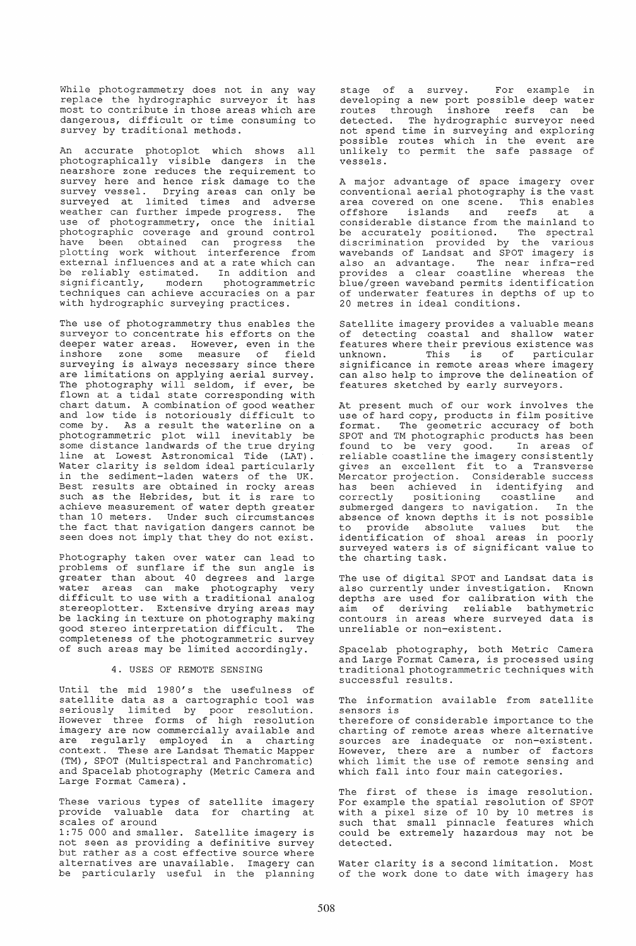While photogrammetry does not in any way replace the hydrographic surveyor it has most to contribute in those areas which are dangerous, difficult or time consuming to survey by traditional methods.

An accurate photoplot which shows all photographically visible dangers in the nearshore zone reduces the requirement to survey here and hence risk damage to the survey vessel. Drying areas can only be surveyed at limited times and adverse weather can further impede progress. The weather can further impede progress. The<br>use of photogrammetry, once the initial photographic coverage and ground control .<br>have been obtained can progress the plotting work without interference from external influences and at a rate which can be reliably estimated. In addition and significantly, modern photogrammetric techniques can achieve accuracies on a par with hydrographic surveying practices.

The use of photogrammetry thus enables the surveyor to concentrate his efforts on the deeper water areas. However, even in the inshore zone some measure of field surveying is always necessary since there are limitations on applying aerial survey. The photography will seldom, if ever, be flown at a tidal state corresponding with chart datum. A combination of good weather and low tide is notoriously difficult to come by. As a result the waterline on a photogrammetric plot will inevitably be some distance landwards of the true drying line at Lowest Astronomical Tide (LAT). Water clarity is seldom ideal particularly in the sediment-laden waters of the UK. Best results are obtained in rocky areas such as the Hebrides, but it is rare to achieve measurement of water depth greater than 10 meters. Under such circumstances the fact that navigation dangers cannot be seen does not imply that they do not exist.

Photography taken over water can lead to<br>problems of sunflare if the sun angle is greater than about 40 degrees and large water areas can make photography very difficult to use with a traditional analog stereoplotter. Extensive drying areas may be lacking in texture on photography making good stereo interpretation difficult. The completeness of the photogrammetric survey of such areas may be limited accordingly.

### 4. USES OF REMOTE SENSING

Until the mid 1980's the usefulness of satellite data as a cartographic tool was seriously limited by poor resolution. However three forms of high resolution imagery are now commercially available and are regularly employed in a charting context. These are Landsat Thematic Mapper (TM), SPOT (Multispectral and Panchromatic) and Spacelab photography (Metric Camera and Large Format Camera) .

These various types of satellite imagery provide valuable data for charting at scales of around

1:75 000 and smaller. Satellite imagery is not seen as providing a definitive survey but rather as a cost effective source where alternatives are unavailable. Imagery can be particularly useful in the planning

stage of a survey. For example in developing a new port possible deep water routes through inshore reefs can be detected. The hydrographic surveyor need not spend time in surveying and exploring possible routes which in the event are unlikely to permit the safe passage of vessels.

A major advantage of space imagery over conventional aerial photography is the vast area covered on one scene. This enables offshore islands and reefs at a considerable distance from the mainland to be accurately positioned. The spectral discrimination provided by the various wavebands of Landsat and SPOT imagery is also an advantage. The near infra-red provides a clear coastline whereas the blue/green waveband permits identification of underwater features in depths of up to 20 metres in ideal conditions.

Satellite imagery provides a valuable means of detecting coastal and shallow water features where their previous existence was unknown. This is of particular unknown. This is of particular<br>significance in remote areas where imagery can also help to improve the delineation of features sketched by early surveyors.

At present much of our work involves the use of hard copy, products in film positive format. The geometric accuracy of both SPOT and TM photographic products has been found to be very good. In areas of reliable coastline the imagery consistently gives an excellent fit to a Transverse Mercator projection. Considerable success has been achieved in identifying and correctly positioning coastline and correctly positioning coastline and<br>submerged dangers to navigation. In the absence of known depths it is not possible to provide absolute values but the identification of shoal areas in poorly surveyed waters is of significant value to the charting task.

The use of digital SPOT and Landsat data is also currently under investigation. Known depths are used for calibration with the aim of deriving reliable bathymetric contours in areas where surveyed data is unreliable or non-existent.

Spacelab photography, both Metric Camera and Large Format Camera, is processed using traditional photogrammetric techniques with successful results.

The information available from satellite sensors is

therefore of considerable importance to the charting of remote areas where alternative sources are inadequate or non-existent. However, there are a number of factors which limit the use of remote sensing and which fall into four main categories.

The first of these is image resolution. For example the spatial resolution of SPOT with a pixel size of 10 by 10 metres is such that small pinnacle features which could be extremely hazardous may not be detected.

Water clarity is a second limitation. Most of the work done to date with imagery has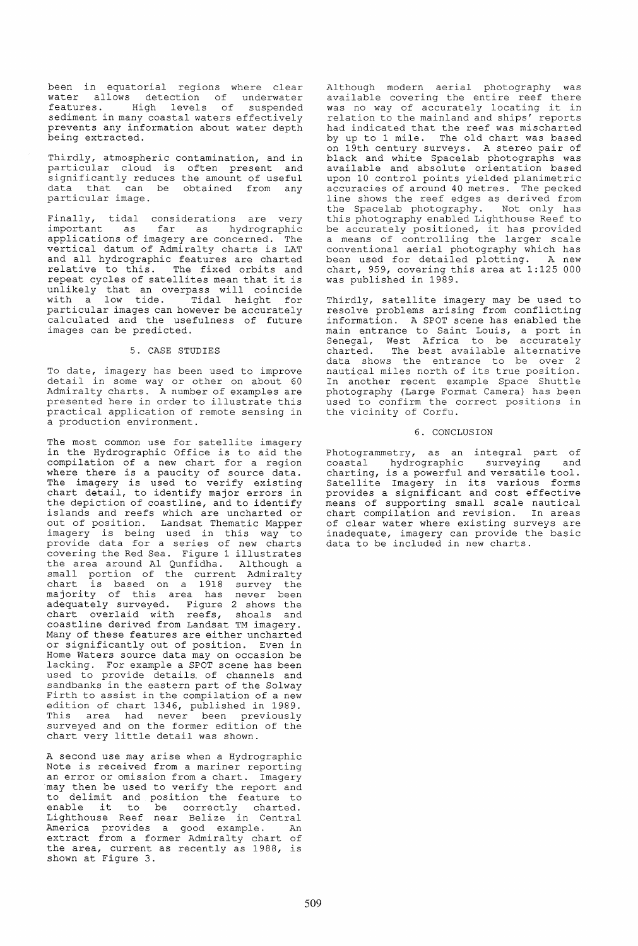been in equatorial regions where clear water allows detection of underwater features. High levels of suspended sediment in many coastal waters effectively prevents any information about water depth being extracted.

Thirdly, atmospheric contamination, and in particular cloud is often present and significantly reduces the amount of useful data that can be obtained from any particular image.

Finally, tidal considerations are very<br>important as far as hydrographic far as hydrographic applications of imagery are concerned. The vertical datum of Admiralty charts is LAT and all hydrographic features are charted relative to this. The fixed orbits and repeat cycles of satellites mean that it is unlikely that an overpass will coincide with a low tide. Tidal height for with a low tide. Tidal height for<br>particular images can however be accurately calculated and the usefulness of future images can be predicted.

# 5. CASE STUDIES

To date, imagery has been used to improve detail in some way or other on about 60 Admiralty charts. A number of examples are presented here in order to illustrate this practical application of remote sensing in a production environment.

The most common use for satellite imagery in the Hydrographic Office is to aid the compilation of a new chart for a region where there is a paucity of source data. where enere is a paacicy or source data:<br>The imagery is used to verify existing chart detail, to identify major errors in the depiction of coastline, and to identify islands and reefs which are uncharted or out of position. Landsat Thematic Mapper ed of position. Edmobal inchmatic happer provide data for a series of new charts covering the Red Sea. Figure 1 illustrates the area around Al Qunfidha. Although a small portion of the current Admiralty chart is based on a 1918 survey the majority of this area has never been adequately surveyed. Figure 2 shows the chart overlaid with reefs, shoals and coastline derived from Landsat TM imagery. Many of these features are either uncharted or significantly out of position. Even in Home Waters source data may on occasion be lacking. For example a SPOT scene has been used to provide details. of channels and sandbanks in the eastern part of the Solway Firth to assist in the compilation of a new edition of chart 1346, published in 1989. This area had never been previously surveyed and on the former edition of the chart very little detail was shown.

A second use may arise when a Hydrographic Note is received from a mariner reporting an error or omission from a chart. Imagery may then be used to verify the report and to delimit and position the feature to to defimit and position the reature to<br>enable it to be correctly charted. Lighthouse Reef near Belize in Central America provides a good example. An extract from a former Admiralty chart of the area, current as recently as 1988, is shown at Figure 3.

Although modern aerial photography was available covering the entire reef there was no way of accurately locating it in relation to the mainland and ships' reports had indicated that the reef was mischarted by up to 1 mile. The old chart was based on 19th century surveys. A stereo pair of<br>black and white Spacelab photographs was available and absolute orientation based upon 10 control points yielded planimetric accuracies of around 40 metres. The pecked line shows the reef edges as derived from<br>the Spacelab photography. Not only has the Spacelab photography. this photography enabled Lighthouse Reef to this photography enabled Lighthouse Reef to<br>be accurately positioned, it has provided a means of controlling the larger scale conventional aerial photography which has been used for detailed plotting. A new chart, 959, covering this area at 1:125 000 was published in 1989.

Thirdly, satellite imagery may be used to resolve problems arising from conflicting information. A SPOT scene has enabled the main entrance to Saint Louis, a port in Senegal, West Africa to be accurately charted. The best available alternative data shows the entrance to be over 2 nautical miles north of its true position. In another recent example Space Shuttle photography (Large Format Camera) has been used to confirm the correct positions in the vicinity of Corfu.

### 6. CONCLUSION

Photogrammetry, as an integral part of<br>coastal hydrographic surveying and hydrographic surveying charting, is a powerful and versatile tool. Charting, is a powerful and versatife coor.<br>Satellite Imagery in its various forms provides a significant and cost effective means of supporting small scale nautical chart compilation and revision. In areas of clear water where existing surveys are inadequate, imagery can provide the basic data to be included in new charts.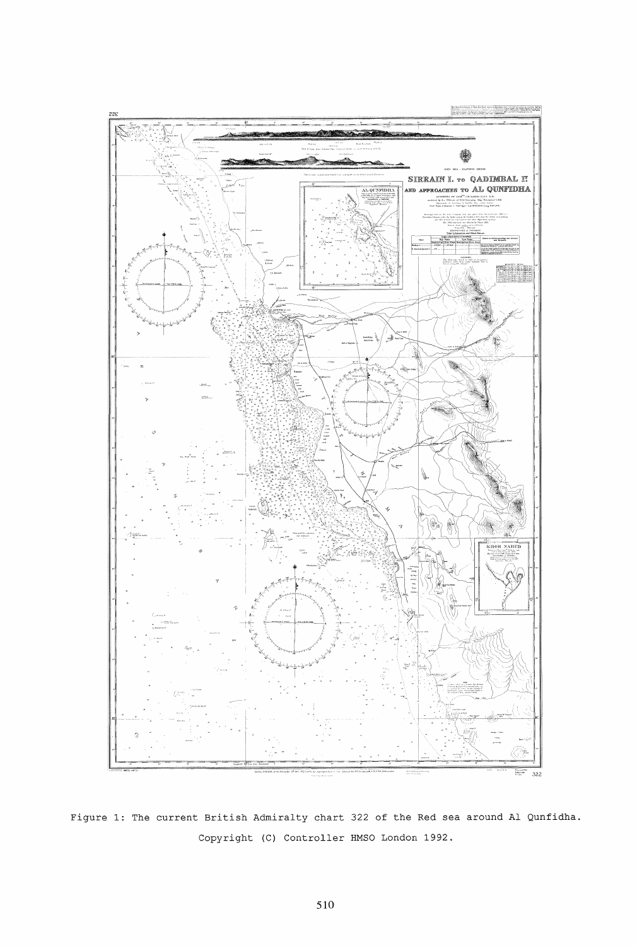

Figure 1: The current British Admiralty chart 322 of the Red sea around Al Qunfidha. Copyright (C) Controller HMSO London 1992.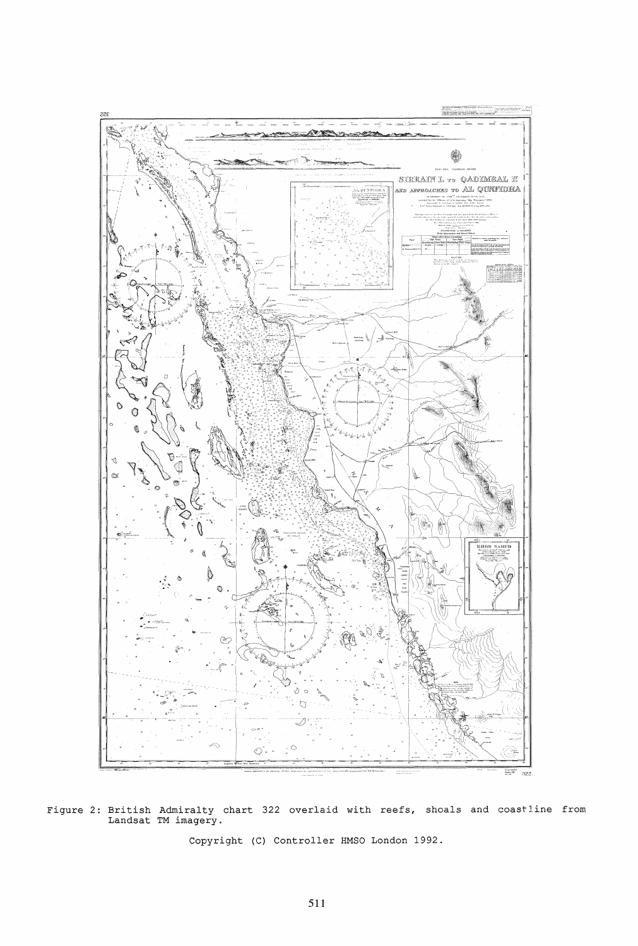

Figure 2: British Admiralty chart 322 overlaid with reefs, shoals and coastline from Landsat TM imagery.

Copyright (C) Controller HMSO London 1992.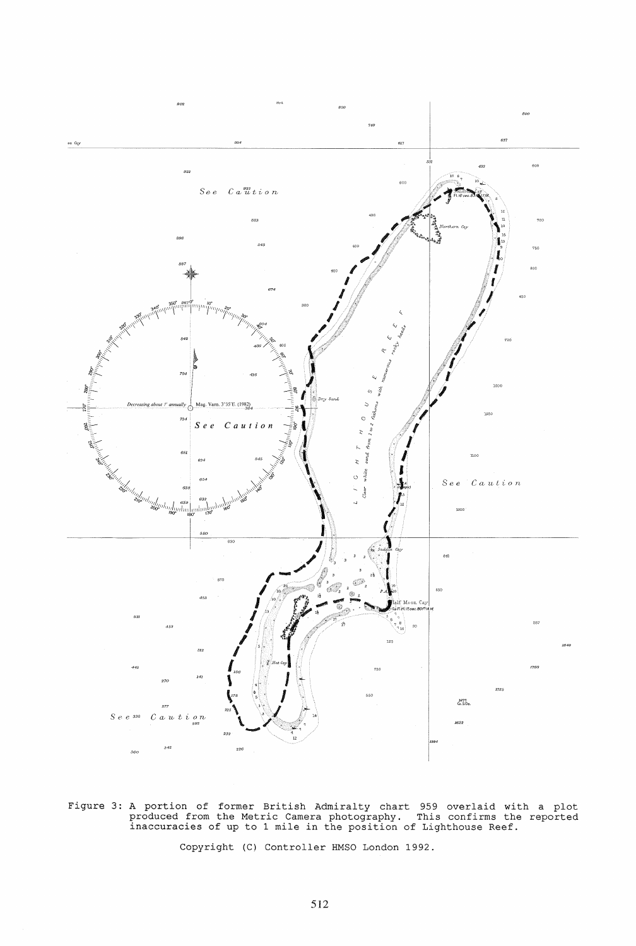

Figure 3: A portion of former British Admiralty chart 959 overlaid with a plot produced from the Metric Camera photography. This confirms the reported inaccuracies of up to 1 mile in the position of Lighthouse Reef.

Copyright (C) Controller HMSO London 1992.